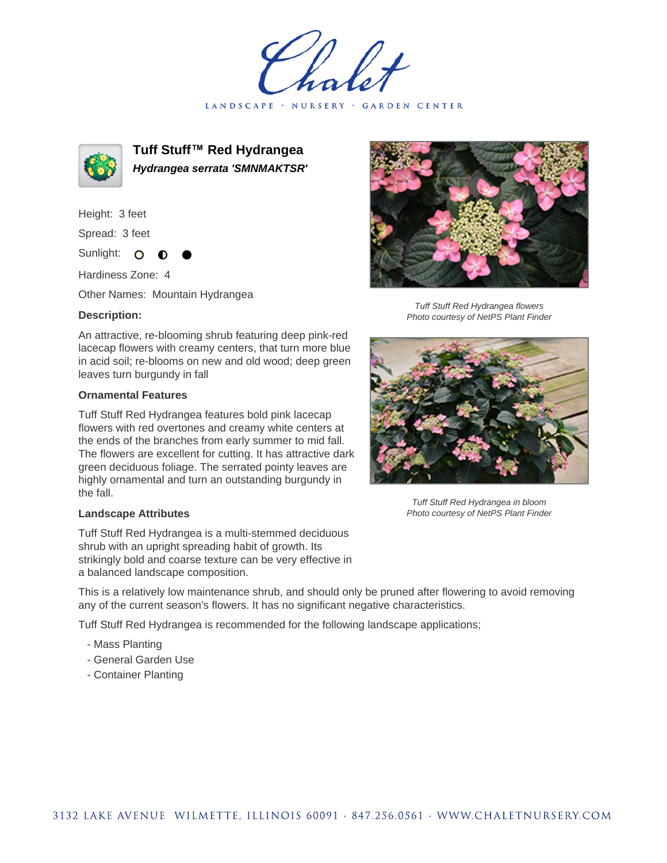LANDSCAPE · NURSERY · GARDEN CENTER



**Tuff Stuff™ Red Hydrangea Hydrangea serrata 'SMNMAKTSR'**

Height: 3 feet

Spread: 3 feet

Sunlight: O

Hardiness Zone: 4

Other Names: Mountain Hydrangea

## **Description:**

An attractive, re-blooming shrub featuring deep pink-red lacecap flowers with creamy centers, that turn more blue in acid soil; re-blooms on new and old wood; deep green leaves turn burgundy in fall

## **Ornamental Features**

Tuff Stuff Red Hydrangea features bold pink lacecap flowers with red overtones and creamy white centers at the ends of the branches from early summer to mid fall. The flowers are excellent for cutting. It has attractive dark green deciduous foliage. The serrated pointy leaves are highly ornamental and turn an outstanding burgundy in the fall.

## **Landscape Attributes**

Tuff Stuff Red Hydrangea is a multi-stemmed deciduous shrub with an upright spreading habit of growth. Its strikingly bold and coarse texture can be very effective in a balanced landscape composition.



Tuff Stuff Red Hydrangea flowers Photo courtesy of NetPS Plant Finder



Tuff Stuff Red Hydrangea in bloom Photo courtesy of NetPS Plant Finder

This is a relatively low maintenance shrub, and should only be pruned after flowering to avoid removing any of the current season's flowers. It has no significant negative characteristics.

Tuff Stuff Red Hydrangea is recommended for the following landscape applications;

- Mass Planting
- General Garden Use
- Container Planting